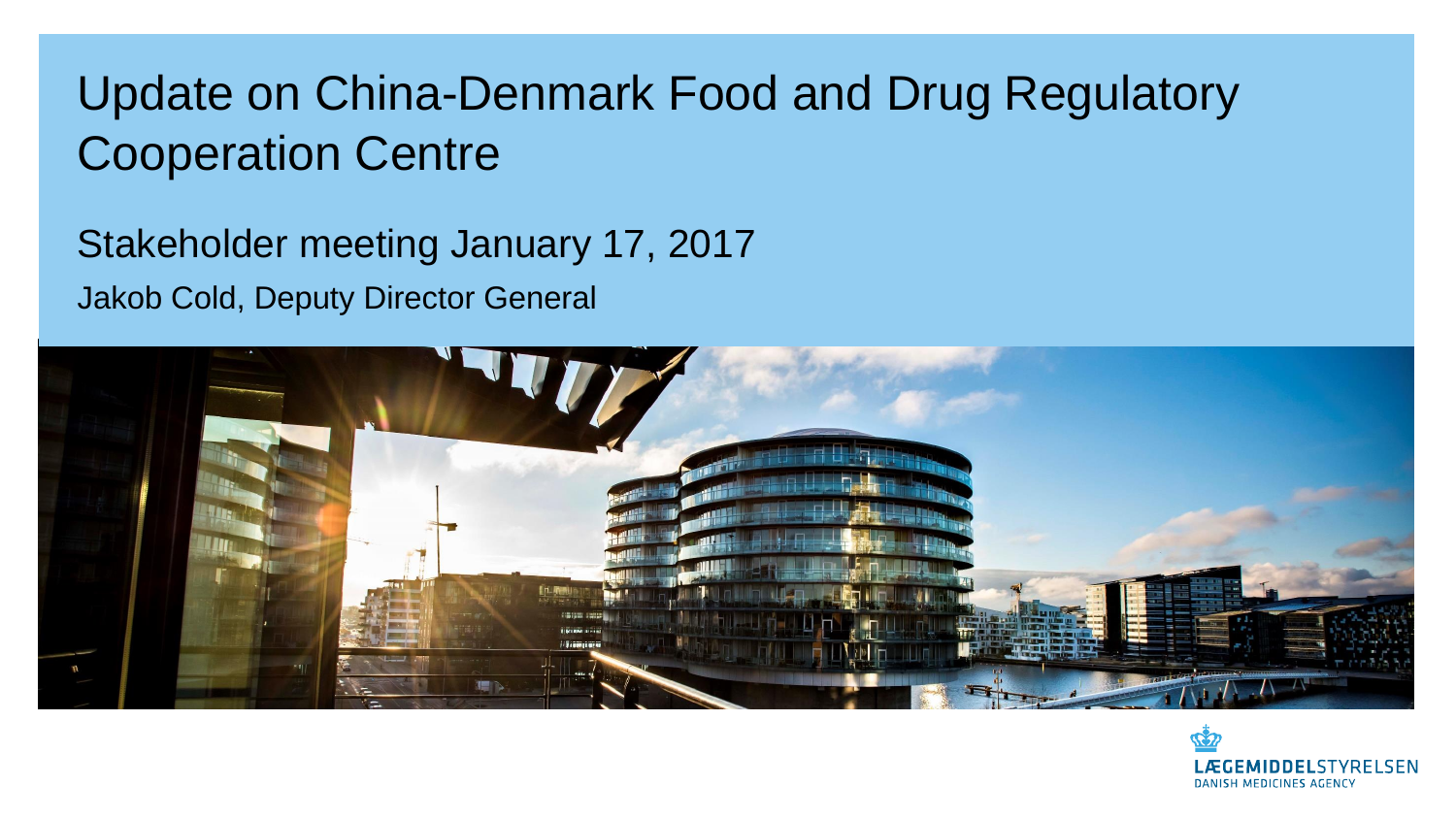#### Update on China-Denmark Food and Drug Regulatory Cooperation Centre

Stakeholder meeting January 17, 2017 Jakob Cold, Deputy Director General



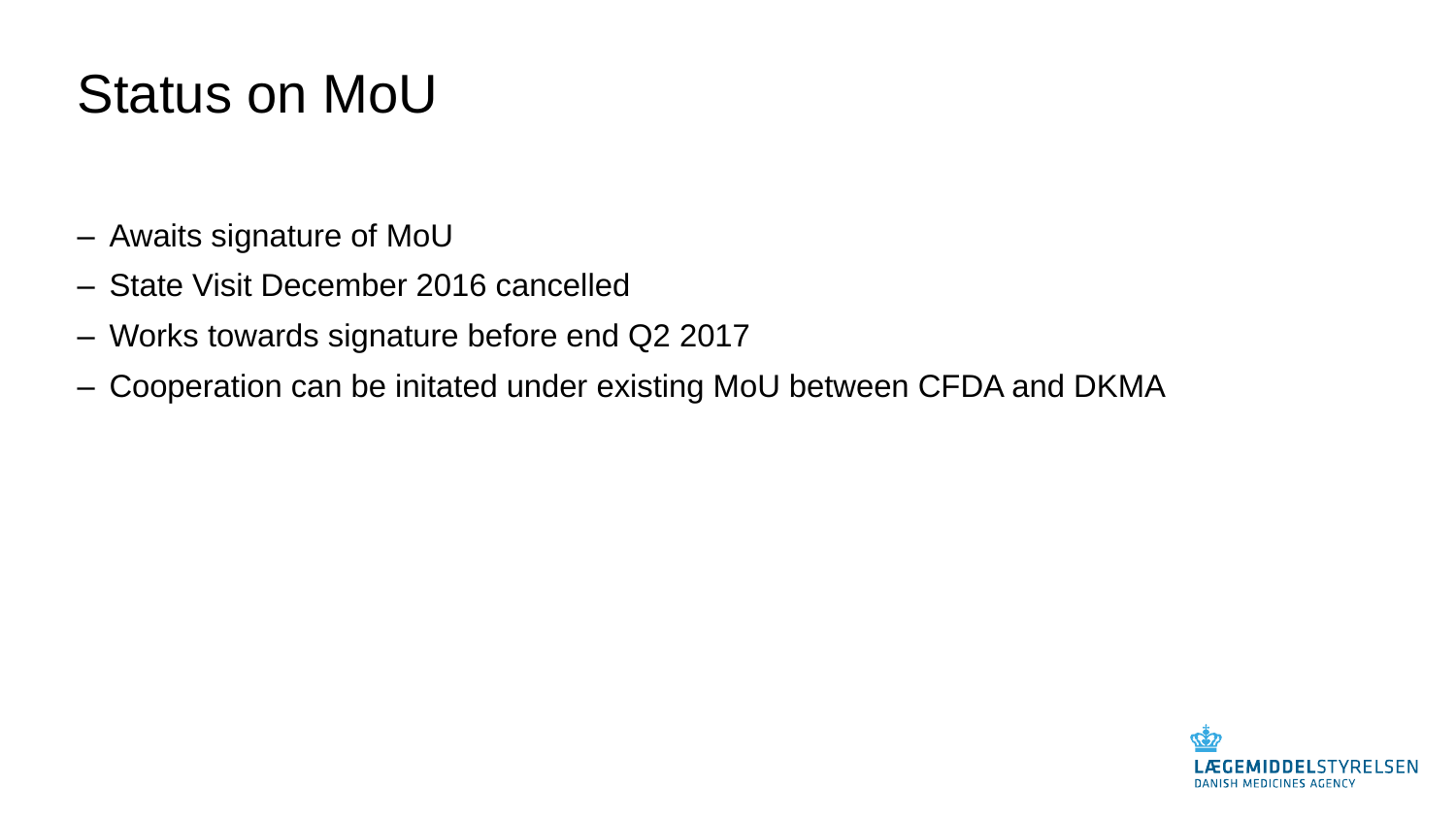## Status on MoU

- ‒ Awaits signature of MoU
- ‒ State Visit December 2016 cancelled
- ‒ Works towards signature before end Q2 2017
- ‒ Cooperation can be initated under existing MoU between CFDA and DKMA

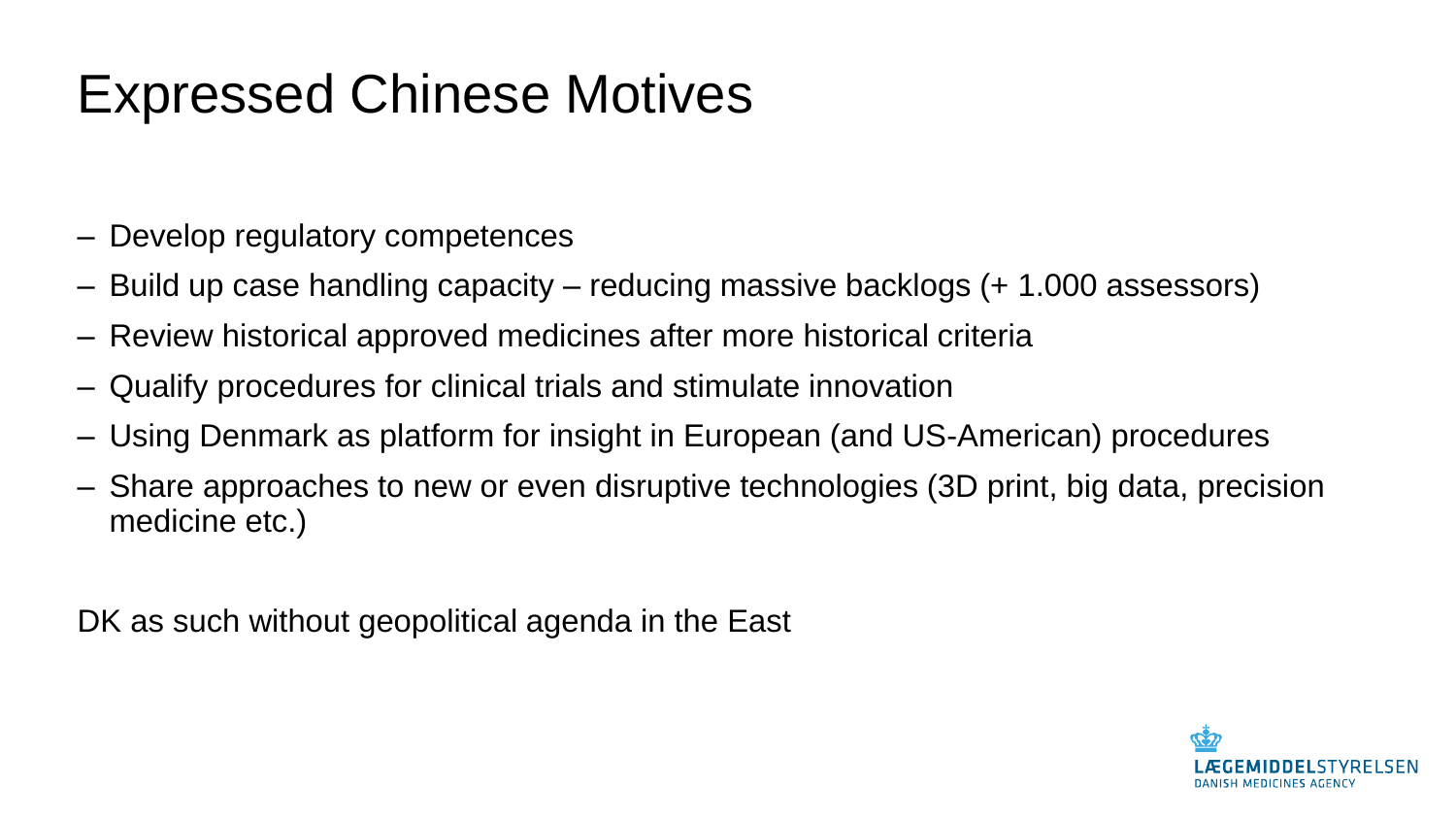#### Expressed Chinese Motives

- ‒ Develop regulatory competences
- ‒ Build up case handling capacity reducing massive backlogs (+ 1.000 assessors)
- ‒ Review historical approved medicines after more historical criteria
- ‒ Qualify procedures for clinical trials and stimulate innovation
- ‒ Using Denmark as platform for insight in European (and US-American) procedures
- ‒ Share approaches to new or even disruptive technologies (3D print, big data, precision medicine etc.)

DK as such without geopolitical agenda in the East

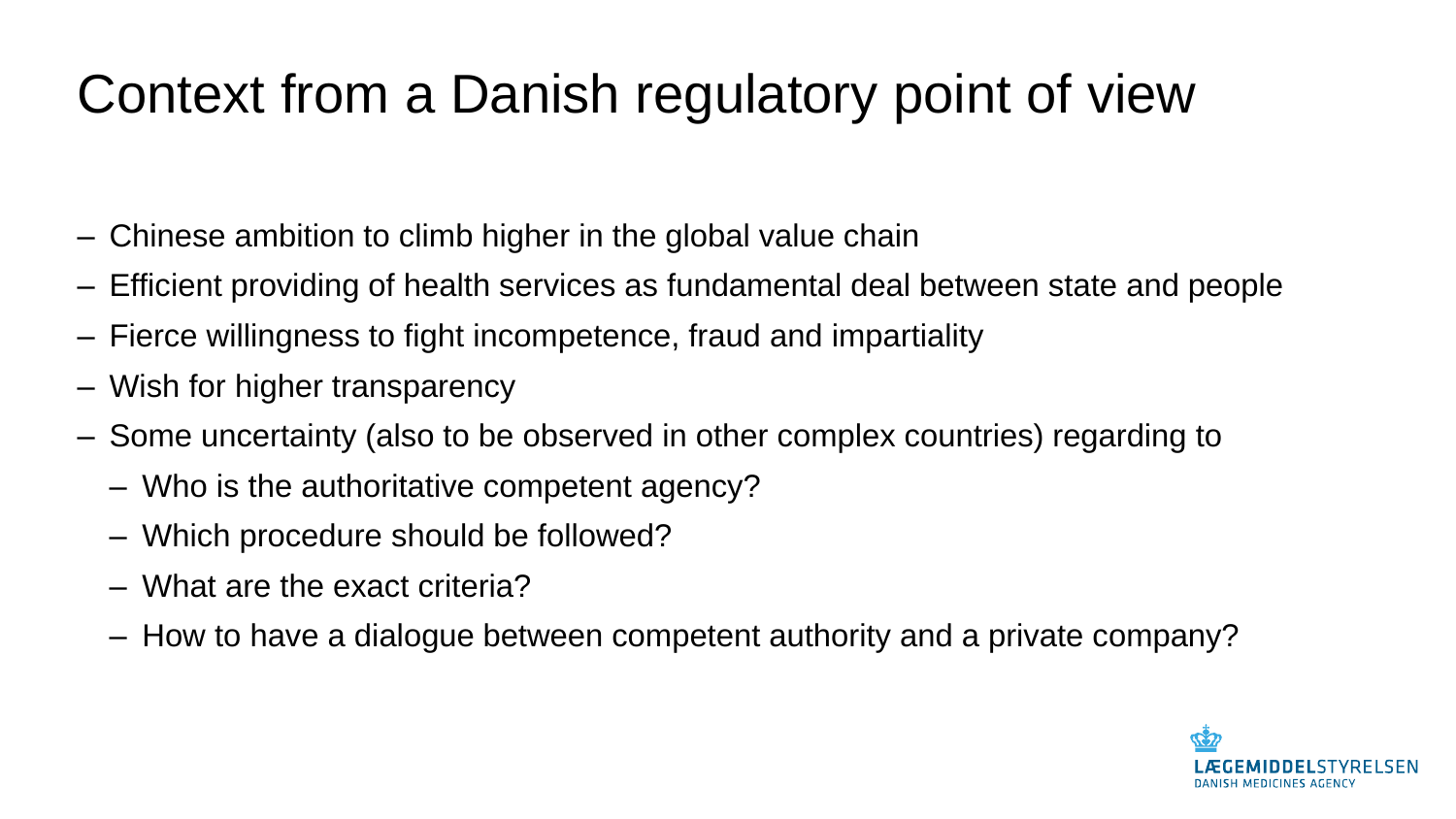## Context from a Danish regulatory point of view

- ‒ Chinese ambition to climb higher in the global value chain
- ‒ Efficient providing of health services as fundamental deal between state and people
- ‒ Fierce willingness to fight incompetence, fraud and impartiality
- ‒ Wish for higher transparency
- ‒ Some uncertainty (also to be observed in other complex countries) regarding to
	- Who is the authoritative competent agency?
	- Which procedure should be followed?
	- What are the exact criteria?
	- How to have a dialogue between competent authority and a private company?

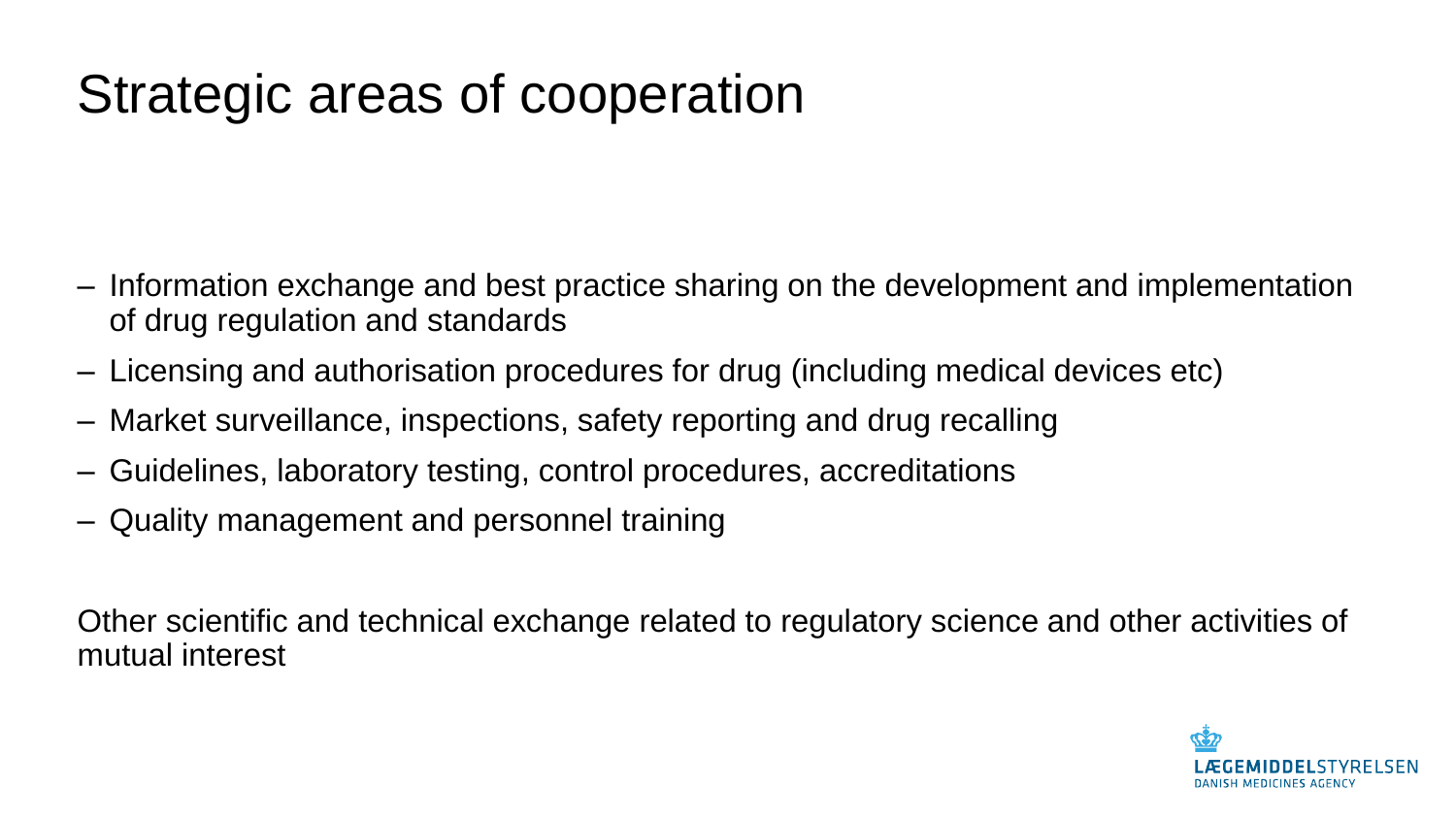### Strategic areas of cooperation

- ‒ Information exchange and best practice sharing on the development and implementation of drug regulation and standards
- ‒ Licensing and authorisation procedures for drug (including medical devices etc)
- ‒ Market surveillance, inspections, safety reporting and drug recalling
- ‒ Guidelines, laboratory testing, control procedures, accreditations
- ‒ Quality management and personnel training

Other scientific and technical exchange related to regulatory science and other activities of mutual interest

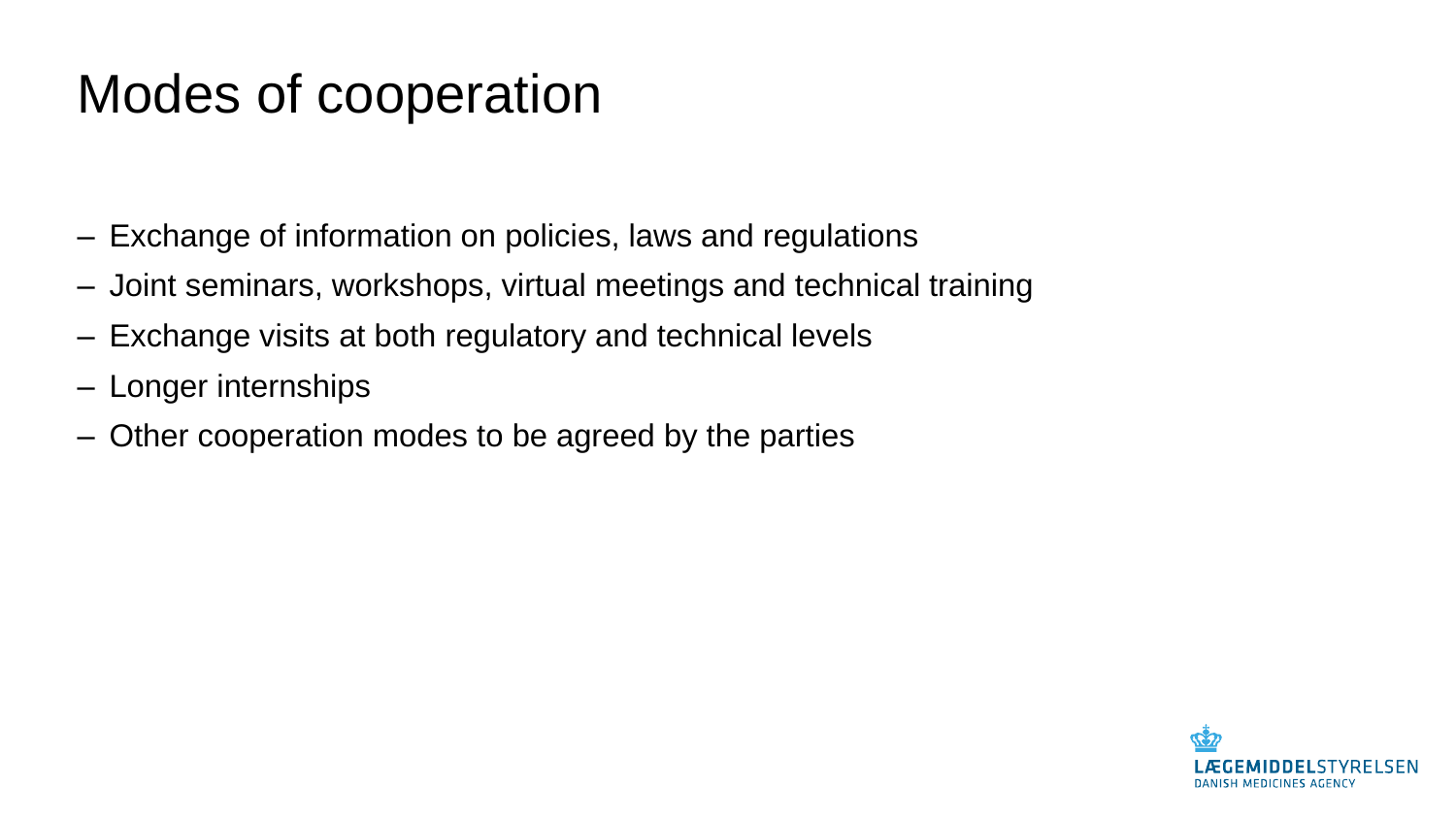#### Modes of cooperation

- ‒ Exchange of information on policies, laws and regulations
- ‒ Joint seminars, workshops, virtual meetings and technical training
- ‒ Exchange visits at both regulatory and technical levels
- ‒ Longer internships
- ‒ Other cooperation modes to be agreed by the parties